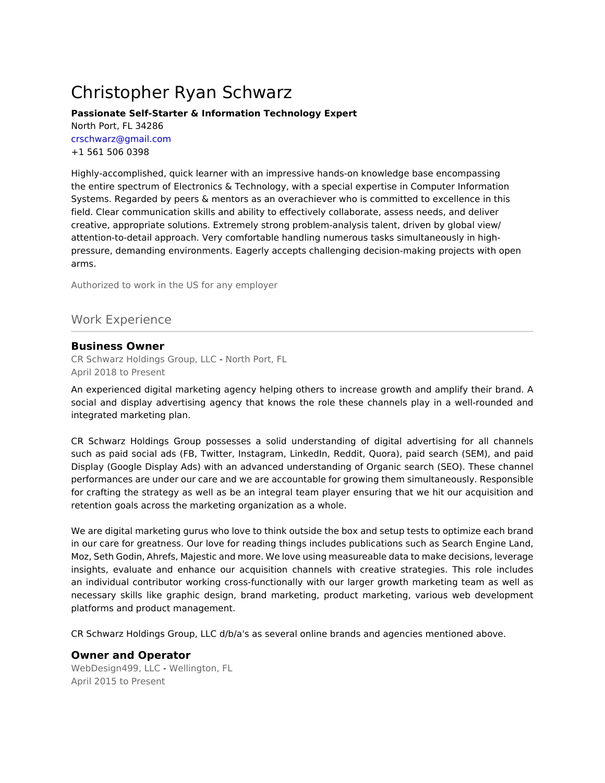# Christopher Ryan Schwarz

#### **Passionate Self-Starter & Information Technology Expert** North Port, FL 34286 crschwarz@gmail.com +1 561 506 0398

Highly-accomplished, quick learner with an impressive hands-on knowledge base encompassing the entire spectrum of Electronics & Technology, with a special expertise in Computer Information Systems. Regarded by peers & mentors as an overachiever who is committed to excellence in this field. Clear communication skills and ability to effectively collaborate, assess needs, and deliver creative, appropriate solutions. Extremely strong problem-analysis talent, driven by global view/ attention-to-detail approach. Very comfortable handling numerous tasks simultaneously in highpressure, demanding environments. Eagerly accepts challenging decision-making projects with open arms.

Authorized to work in the US for any employer

## Work Experience

#### **Business Owner**

CR Schwarz Holdings Group, LLC - North Port, FL April 2018 to Present

An experienced digital marketing agency helping others to increase growth and amplify their brand. A social and display advertising agency that knows the role these channels play in a well-rounded and integrated marketing plan.

CR Schwarz Holdings Group possesses a solid understanding of digital advertising for all channels such as paid social ads (FB, Twitter, Instagram, LinkedIn, Reddit, Quora), paid search (SEM), and paid Display (Google Display Ads) with an advanced understanding of Organic search (SEO). These channel performances are under our care and we are accountable for growing them simultaneously. Responsible for crafting the strategy as well as be an integral team player ensuring that we hit our acquisition and retention goals across the marketing organization as a whole.

We are digital marketing gurus who love to think outside the box and setup tests to optimize each brand in our care for greatness. Our love for reading things includes publications such as Search Engine Land, Moz, Seth Godin, Ahrefs, Majestic and more. We love using measureable data to make decisions, leverage insights, evaluate and enhance our acquisition channels with creative strategies. This role includes an individual contributor working cross-functionally with our larger growth marketing team as well as necessary skills like graphic design, brand marketing, product marketing, various web development platforms and product management.

CR Schwarz Holdings Group, LLC d/b/a's as several online brands and agencies mentioned above.

#### **Owner and Operator**

WebDesign499, LLC - Wellington, FL April 2015 to Present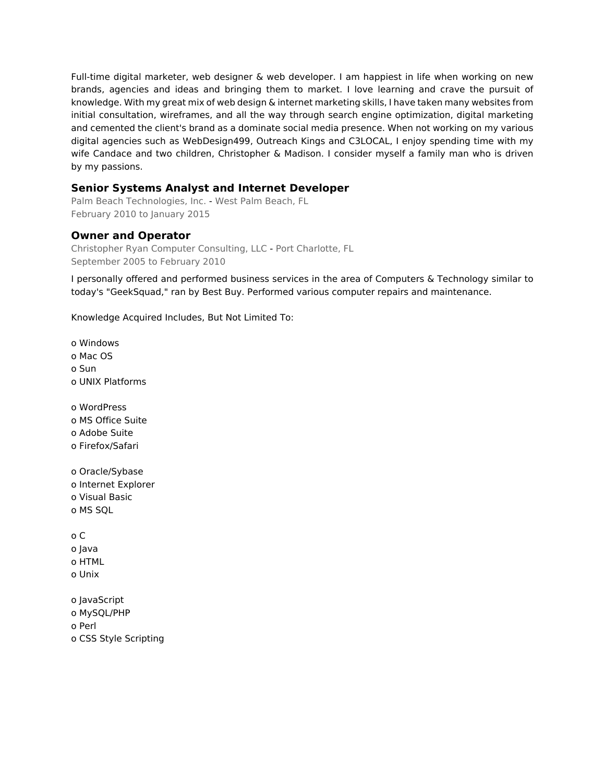Full-time digital marketer, web designer & web developer. I am happiest in life when working on new brands, agencies and ideas and bringing them to market. I love learning and crave the pursuit of knowledge. With my great mix of web design & internet marketing skills, I have taken many websites from initial consultation, wireframes, and all the way through search engine optimization, digital marketing and cemented the client's brand as a dominate social media presence. When not working on my various digital agencies such as WebDesign499, Outreach Kings and C3LOCAL, I enjoy spending time with my wife Candace and two children, Christopher & Madison. I consider myself a family man who is driven by my passions.

## **Senior Systems Analyst and Internet Developer**

Palm Beach Technologies, Inc. - West Palm Beach, FL February 2010 to January 2015

## **Owner and Operator**

Christopher Ryan Computer Consulting, LLC - Port Charlotte, FL September 2005 to February 2010

I personally offered and performed business services in the area of Computers & Technology similar to today's "GeekSquad," ran by Best Buy. Performed various computer repairs and maintenance.

Knowledge Acquired Includes, But Not Limited To:

o Windows o Mac OS o Sun o UNIX Platforms o WordPress o MS Office Suite o Adobe Suite o Firefox/Safari o Oracle/Sybase o Internet Explorer o Visual Basic o MS SQL o C o Java o HTML o Unix o JavaScript

o MySQL/PHP o Perl o CSS Style Scripting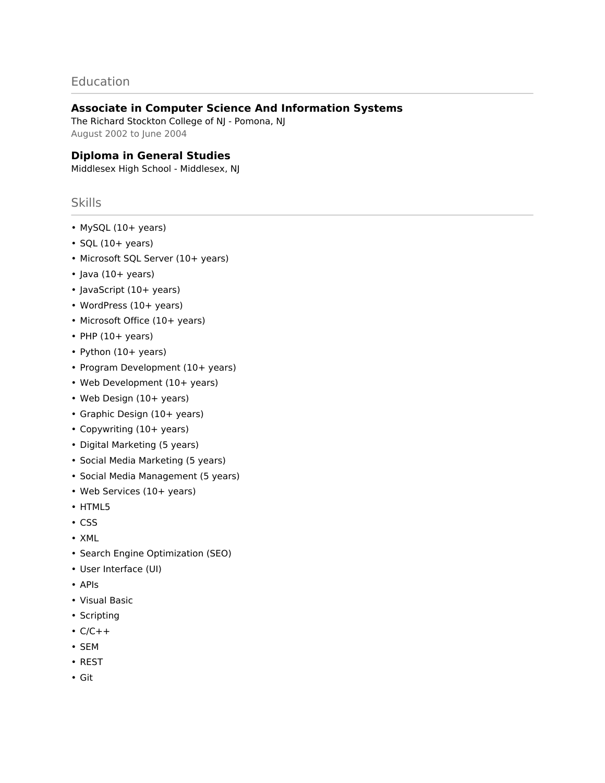## **Education**

## **Associate in Computer Science And Information Systems**

The Richard Stockton College of NJ - Pomona, NJ August 2002 to June 2004

## **Diploma in General Studies**

Middlesex High School - Middlesex, NJ

## Skills

- MySQL (10+ years)
- $\cdot$  SQL (10+ years)
- Microsoft SQL Server (10+ years)
- Java (10+ years)
- JavaScript (10+ years)
- WordPress (10+ years)
- Microsoft Office (10+ years)
- $\cdot$  PHP (10+ years)
- Python (10+ years)
- Program Development (10+ years)
- Web Development (10+ years)
- Web Design (10+ years)
- Graphic Design (10+ years)
- Copywriting (10+ years)
- Digital Marketing (5 years)
- Social Media Marketing (5 years)
- Social Media Management (5 years)
- Web Services (10+ years)
- HTML5
- CSS
- XML
- Search Engine Optimization (SEO)
- User Interface (UI)
- APIs
- Visual Basic
- Scripting
- $\cdot$  C/C++
- SEM
- REST
- Git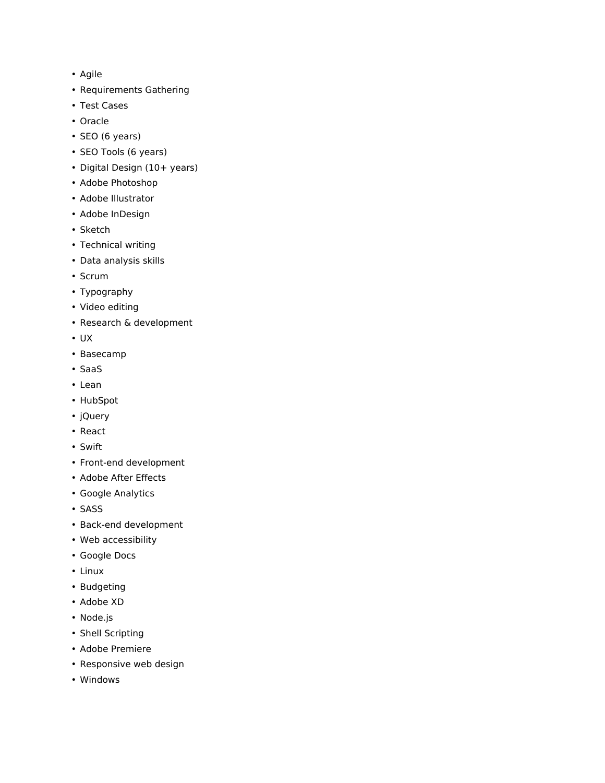- Agile
- Requirements Gathering
- Test Cases
- Oracle
- SEO (6 years)
- SEO Tools (6 years)
- Digital Design (10+ years)
- Adobe Photoshop
- Adobe Illustrator
- Adobe InDesign
- Sketch
- Technical writing
- Data analysis skills
- Scrum
- Typography
- Video editing
- Research & development
- UX
- Basecamp
- SaaS
- Lean
- HubSpot
- jQuery
- React
- Swift
- Front-end development
- Adobe After Effects
- Google Analytics
- SASS
- Back-end development
- Web accessibility
- Google Docs
- Linux
- Budgeting
- Adobe XD
- Node.js
- Shell Scripting
- Adobe Premiere
- Responsive web design
- Windows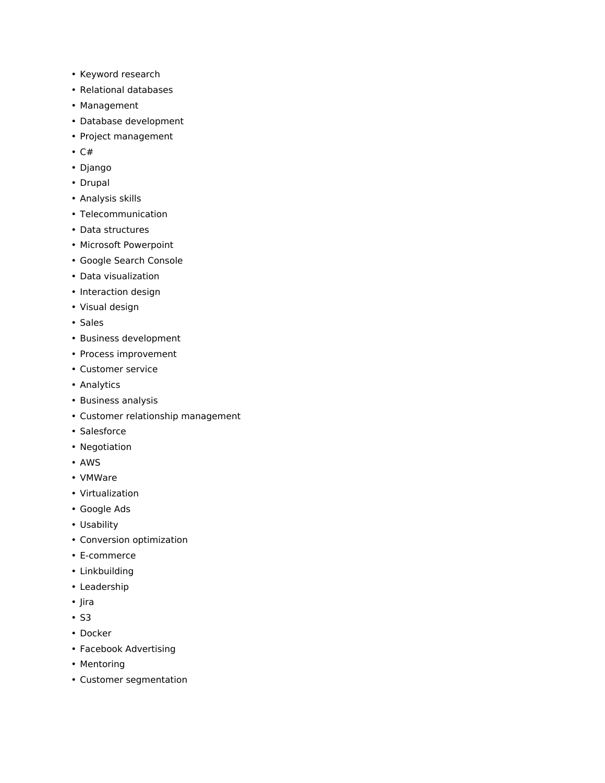- Keyword research
- Relational databases
- Management
- Database development
- Project management
- C#
- Django
- Drupal
- Analysis skills
- Telecommunication
- Data structures
- Microsoft Powerpoint
- Google Search Console
- Data visualization
- Interaction design
- Visual design
- Sales
- Business development
- Process improvement
- Customer service
- Analytics
- Business analysis
- Customer relationship management
- Salesforce
- Negotiation
- AWS
- VMWare
- Virtualization
- Google Ads
- Usability
- Conversion optimization
- E-commerce
- Linkbuilding
- Leadership
- Jira
- S3
- Docker
- Facebook Advertising
- Mentoring
- Customer segmentation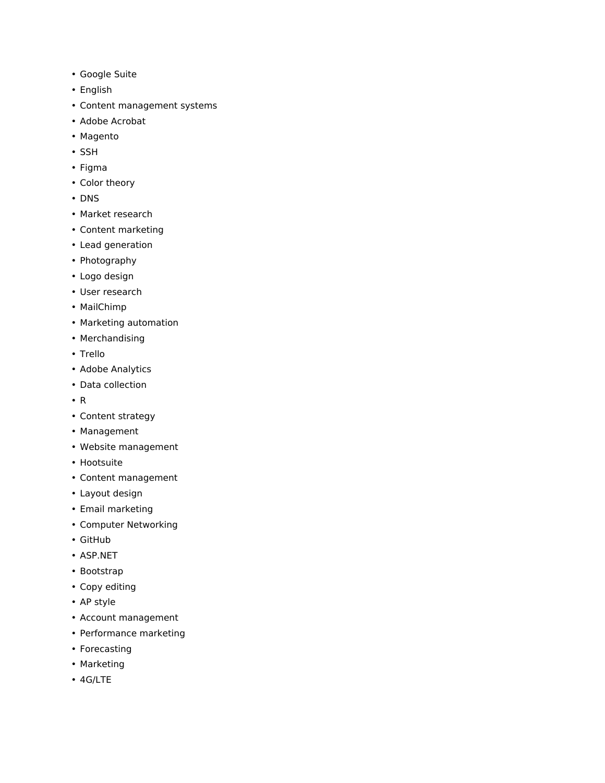- Google Suite
- English
- Content management systems
- Adobe Acrobat
- Magento
- SSH
- Figma
- Color theory
- DNS
- Market research
- Content marketing
- Lead generation
- Photography
- Logo design
- User research
- MailChimp
- Marketing automation
- Merchandising
- Trello
- Adobe Analytics
- Data collection
- R
- Content strategy
- Management
- Website management
- Hootsuite
- Content management
- Layout design
- Email marketing
- Computer Networking
- GitHub
- ASP.NET
- Bootstrap
- Copy editing
- AP style
- Account management
- Performance marketing
- Forecasting
- Marketing
- 4G/LTE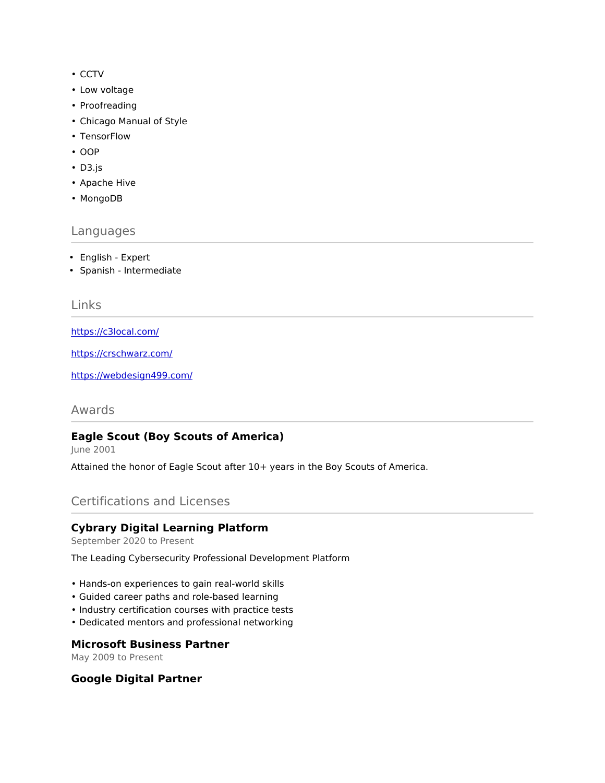- CCTV
- Low voltage
- Proofreading
- Chicago Manual of Style
- TensorFlow
- OOP
- D3.js
- Apache Hive
- MongoDB

#### Languages

- English Expert
- Spanish Intermediate

## Links

<https://c3local.com/>

<https://crschwarz.com/>

<https://webdesign499.com/>

Awards

## **Eagle Scout (Boy Scouts of America)**

June 2001

Attained the honor of Eagle Scout after 10+ years in the Boy Scouts of America.

## Certifications and Licenses

#### **Cybrary Digital Learning Platform**

September 2020 to Present

The Leading Cybersecurity Professional Development Platform

- Hands-on experiences to gain real-world skills
- Guided career paths and role-based learning
- Industry certification courses with practice tests
- Dedicated mentors and professional networking

#### **Microsoft Business Partner**

May 2009 to Present

#### **Google Digital Partner**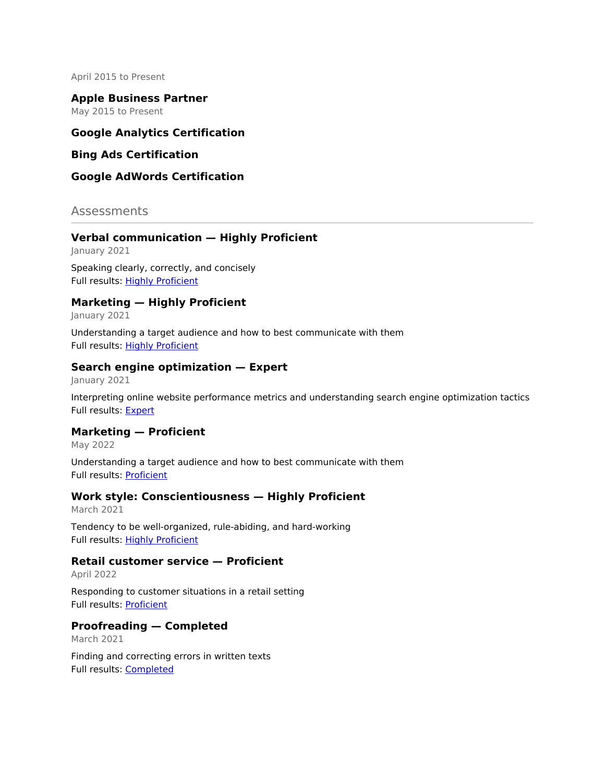April 2015 to Present

**Apple Business Partner** May 2015 to Present

## **Google Analytics Certification**

#### **Bing Ads Certification**

#### **Google AdWords Certification**

#### Assessments

#### **Verbal communication — Highly Proficient**

January 2021

Speaking clearly, correctly, and concisely Full results: [Highly Proficient](https://share.indeedassessments.com/attempts/495bc89a2cecf67cf33781f9eb4e09a3eed53dc074545cb7)

#### **Marketing — Highly Proficient**

January 2021

Understanding a target audience and how to best communicate with them Full results: [Highly Proficient](https://share.indeedassessments.com/attempts/a773436d48b4f233a817a0f4eb09a0f8)

#### **Search engine optimization — Expert**

January 2021

Interpreting online website performance metrics and understanding search engine optimization tactics Full results: [Expert](https://share.indeedassessments.com/attempts/52bac6665e2d8f94adade07d57caf04feed53dc074545cb7)

#### **Marketing — Proficient**

May 2022

Understanding a target audience and how to best communicate with them Full results: [Proficient](https://share.indeedassessments.com/attempts/ba06a2c423c2b6ca51dc37182fb2c9adeed53dc074545cb7)

#### **Work style: Conscientiousness — Highly Proficient**

March 2021

Tendency to be well-organized, rule-abiding, and hard-working Full results: [Highly Proficient](https://share.indeedassessments.com/attempts/63b939e383b56270c9518f84b68b7e61eed53dc074545cb7)

#### **Retail customer service — Proficient**

April 2022

Responding to customer situations in a retail setting Full results: [Proficient](https://share.indeedassessments.com/attempts/80d551d497e29fa2a2bb1bd242509a68eed53dc074545cb7)

#### **Proofreading — Completed**

March 2021

Finding and correcting errors in written texts Full results: [Completed](https://share.indeedassessments.com/attempts/90a638838b75ed2b16c9c7000f706d63eed53dc074545cb7)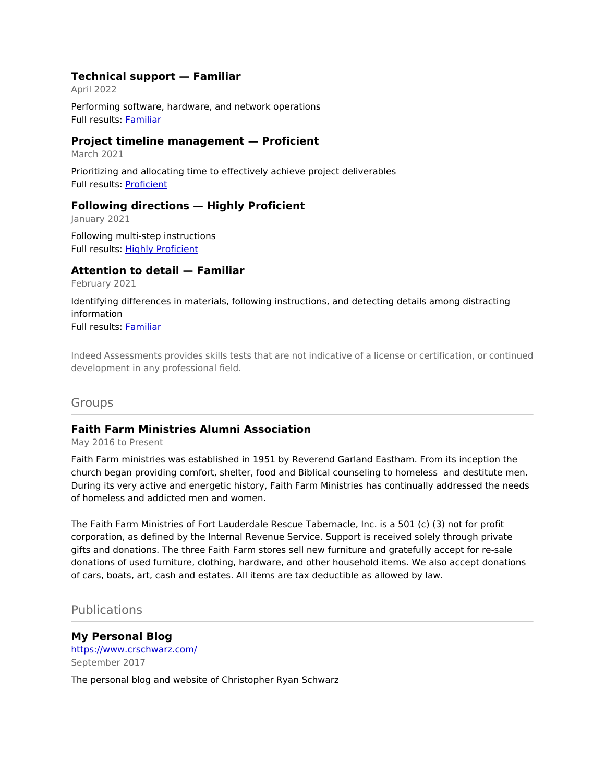#### **Technical support — Familiar**

April 2022 Performing software, hardware, and network operations Full results: [Familiar](https://share.indeedassessments.com/attempts/f9b076015dac4290ebd632ee397b9548eed53dc074545cb7)

#### **Project timeline management — Proficient**

March 2021

Prioritizing and allocating time to effectively achieve project deliverables Full results: [Proficient](https://share.indeedassessments.com/attempts/f71dc27210ac7d563e2762b4c5436088eed53dc074545cb7)

## **Following directions — Highly Proficient**

January 2021

Following multi-step instructions Full results: [Highly Proficient](https://share.indeedassessments.com/attempts/fe3679567fa9aa6778e5b2742faa5c49eed53dc074545cb7)

#### **Attention to detail — Familiar**

February 2021

Identifying differences in materials, following instructions, and detecting details among distracting information Full results: [Familiar](https://share.indeedassessments.com/attempts/ed45bb800142b139eaad352e37bcfa57eed53dc074545cb7)

Indeed Assessments provides skills tests that are not indicative of a license or certification, or continued development in any professional field.

## Groups

## **Faith Farm Ministries Alumni Association**

May 2016 to Present

Faith Farm ministries was established in 1951 by Reverend Garland Eastham. From its inception the church began providing comfort, shelter, food and Biblical counseling to homeless and destitute men. During its very active and energetic history, Faith Farm Ministries has continually addressed the needs of homeless and addicted men and women.

The Faith Farm Ministries of Fort Lauderdale Rescue Tabernacle, Inc. is a 501 (c) (3) not for profit corporation, as defined by the Internal Revenue Service. Support is received solely through private gifts and donations. The three Faith Farm stores sell new furniture and gratefully accept for re-sale donations of used furniture, clothing, hardware, and other household items. We also accept donations of cars, boats, art, cash and estates. All items are tax deductible as allowed by law.

## Publications

# **My Personal Blog** <https://www.crschwarz.com/> September 2017

The personal blog and website of Christopher Ryan Schwarz